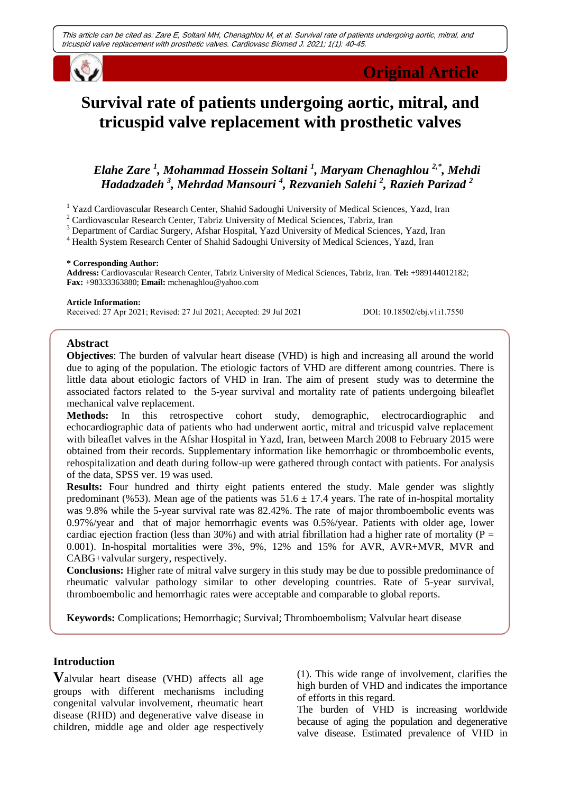

# **Survival rate of patients undergoing aortic, mitral, and tricuspid valve replacement with prosthetic valves**

## *Elahe Zare <sup>1</sup> , Mohammad Hossein Soltani <sup>1</sup> , Maryam Chenaghlou 2,\*, Mehdi Hadadzadeh <sup>3</sup> , Mehrdad Mansouri <sup>4</sup> , Rezvanieh Salehi <sup>2</sup> , Razieh Parizad <sup>2</sup>*

<sup>1</sup> Yazd Cardiovascular Research Center, Shahid Sadoughi University of Medical Sciences, Yazd, Iran

<sup>2</sup> Cardiovascular Research Center, Tabriz University of Medical Sciences, Tabriz, Iran

<sup>3</sup> Department of Cardiac Surgery, Afshar Hospital, Yazd University of Medical Sciences, Yazd, Iran

<sup>4</sup> Health System Research Center of Shahid Sadoughi University of Medical Sciences, Yazd, Iran

#### **\* Corresponding Author:**

**Address:** Cardiovascular Research Center, Tabriz University of Medical Sciences, Tabriz, Iran. **Tel:** +989144012182; **Fax:** +98333363880; **Email:** [mchenaghlou@yahoo.com](mailto:mchenaghlou@yahoo.com)

#### **Article Information:**

Received: 27 Apr 2021; Revised: 27 Jul 2021; Accepted: 29 Jul 2021 DOI: 10.18502/cbj.v1i1.7550

#### **Abstract**

**Objectives**: The burden of valvular heart disease (VHD) is high and increasing all around the world due to aging of the population. The etiologic factors of VHD are different among countries. There is little data about etiologic factors of VHD in Iran. The aim of present study was to determine the associated factors related to the 5-year survival and mortality rate of patients undergoing bileaflet mechanical valve replacement.

**Methods:** In this retrospective cohort study, demographic, electrocardiographic and echocardiographic data of patients who had underwent aortic, mitral and tricuspid valve replacement with bileaflet valves in the Afshar Hospital in Yazd, Iran, between March 2008 to February 2015 were obtained from their records. Supplementary information like hemorrhagic or thromboembolic events, rehospitalization and death during follow-up were gathered through contact with patients. For analysis of the data, SPSS ver. 19 was used.

**Results:** Four hundred and thirty eight patients entered the study. Male gender was slightly predominant (%53). Mean age of the patients was  $51.6 \pm 17.4$  years. The rate of in-hospital mortality was 9.8% while the 5-year survival rate was 82.42%. The rate of major thromboembolic events was 0.97%/year and that of major hemorrhagic events was 0.5%/year. Patients with older age, lower cardiac ejection fraction (less than 30%) and with atrial fibrillation had a higher rate of mortality ( $P =$ 0.001). In-hospital mortalities were 3%, 9%, 12% and 15% for AVR, AVR+MVR, MVR and CABG+valvular surgery, respectively.

**Conclusions:** Higher rate of mitral valve surgery in this study may be due to possible predominance of rheumatic valvular pathology similar to other developing countries. Rate of 5-year survival, thromboembolic and hemorrhagic rates were acceptable and comparable to global reports.

**Keywords:** Complications; Hemorrhagic; Survival; Thromboembolism; Valvular heart disease

## **Introduction**

**V**alvular heart disease (VHD) affects all age groups with different mechanisms including congenital valvular involvement, rheumatic heart disease (RHD) and degenerative valve disease in children, middle age and older age respectively

(1). This wide range of involvement, clarifies the high burden of VHD and indicates the importance of efforts in this regard.

The burden of VHD is increasing worldwide because of aging the population and degenerative valve disease. Estimated prevalence of VHD in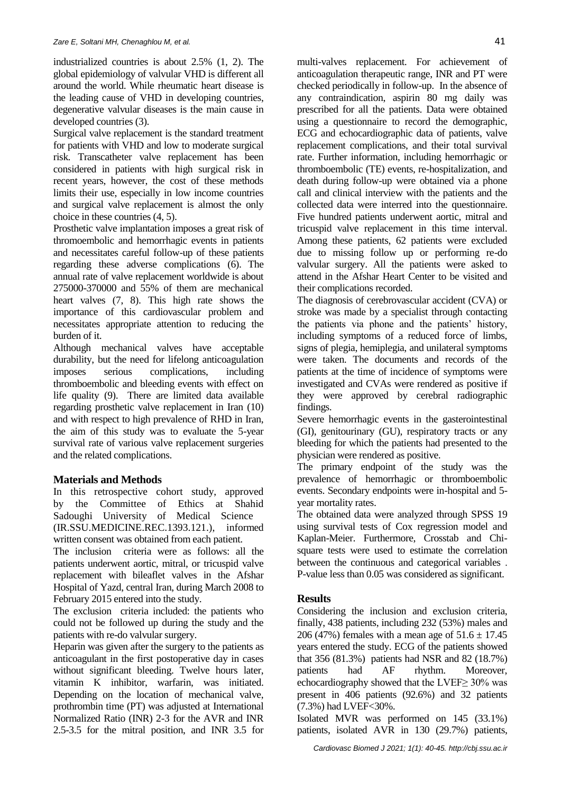industrialized countries is about 2.5% (1, 2). The global epidemiology of valvular VHD is different all around the world. While rheumatic heart disease is the leading cause of VHD in developing countries, degenerative valvular diseases is the main cause in developed countries (3).

Surgical valve replacement is the standard treatment for patients with VHD and low to moderate surgical risk. Transcatheter valve replacement has been considered in patients with high surgical risk in recent years, however, the cost of these methods limits their use, especially in low income countries and surgical valve replacement is almost the only choice in these countries (4, 5).

Prosthetic valve implantation imposes a great risk of thromoembolic and hemorrhagic events in patients and necessitates careful follow-up of these patients regarding these adverse complications (6). The annual rate of valve replacement worldwide is about 275000-370000 and 55% of them are mechanical heart valves (7, 8). This high rate shows the importance of this cardiovascular problem and necessitates appropriate attention to reducing the burden of it.

Although mechanical valves have acceptable durability, but the need for lifelong anticoagulation imposes serious complications, including thromboembolic and bleeding events with effect on life quality (9). There are limited data available regarding prosthetic valve replacement in Iran (10) and with respect to high prevalence of RHD in Iran, the aim of this study was to evaluate the 5-year survival rate of various valve replacement surgeries and the related complications.

## **Materials and Methods**

In this retrospective cohort study, approved by the Committee of Ethics at Shahid Sadoughi University of Medical Science (IR.SSU.MEDICINE.REC.1393.121.), informed written consent was obtained from each patient.

The inclusion criteria were as follows: all the patients underwent aortic, mitral, or tricuspid valve replacement with bileaflet valves in the Afshar Hospital of Yazd, central Iran, during March 2008 to February 2015 entered into the study.

The exclusion criteria included: the patients who could not be followed up during the study and the patients with re-do valvular surgery.

Heparin was given after the surgery to the patients as anticoagulant in the first postoperative day in cases without significant bleeding. Twelve hours later, vitamin K inhibitor, warfarin, was initiated. Depending on the location of mechanical valve, prothrombin time (PT) was adjusted at International Normalized Ratio (INR) 2-3 for the AVR and INR 2.5-3.5 for the mitral position, and INR 3.5 for

multi-valves replacement. For achievement of anticoagulation therapeutic range, INR and PT were checked periodically in follow-up. In the absence of any contraindication, aspirin 80 mg daily was prescribed for all the patients. Data were obtained using a questionnaire to record the demographic, ECG and echocardiographic data of patients, valve replacement complications, and their total survival rate. Further information, including hemorrhagic or thromboembolic (TE) events, re-hospitalization, and death during follow-up were obtained via a phone call and clinical interview with the patients and the collected data were interred into the questionnaire. Five hundred patients underwent aortic, mitral and tricuspid valve replacement in this time interval. Among these patients, 62 patients were excluded due to missing follow up or performing re-do valvular surgery. All the patients were asked to attend in the Afshar Heart Center to be visited and their complications recorded.

The diagnosis of cerebrovascular accident (CVA) or stroke was made by a specialist through contacting the patients via phone and the patients' history, including symptoms of a reduced force of limbs, signs of plegia, hemiplegia, and unilateral symptoms were taken. The documents and records of the patients at the time of incidence of symptoms were investigated and CVAs were rendered as positive if they were approved by cerebral radiographic findings.

Severe hemorrhagic events in the gasterointestinal (GI), genitourinary (GU), respiratory tracts or any bleeding for which the patients had presented to the physician were rendered as positive.

The primary endpoint of the study was the prevalence of hemorrhagic or thromboembolic events. Secondary endpoints were in-hospital and 5 year mortality rates.

The obtained data were analyzed through SPSS 19 using survival tests of Cox regression model and Kaplan-Meier. Furthermore, Crosstab and Chisquare tests were used to estimate the correlation between the continuous and categorical variables . P-value less than 0.05 was considered as significant.

## **Results**

Considering the inclusion and exclusion criteria, finally, 438 patients, including 232 (53%) males and 206 (47%) females with a mean age of  $51.6 \pm 17.45$ years entered the study. ECG of the patients showed that 356 (81.3%) patients had NSR and 82 (18.7%) patients had AF rhythm. Moreover, echocardiography showed that the LVEF≥ 30% was present in 406 patients (92.6%) and 32 patients (7.3%) had LVEF<30%.

Isolated MVR was performed on 145 (33.1%) patients, isolated AVR in 130 (29.7%) patients,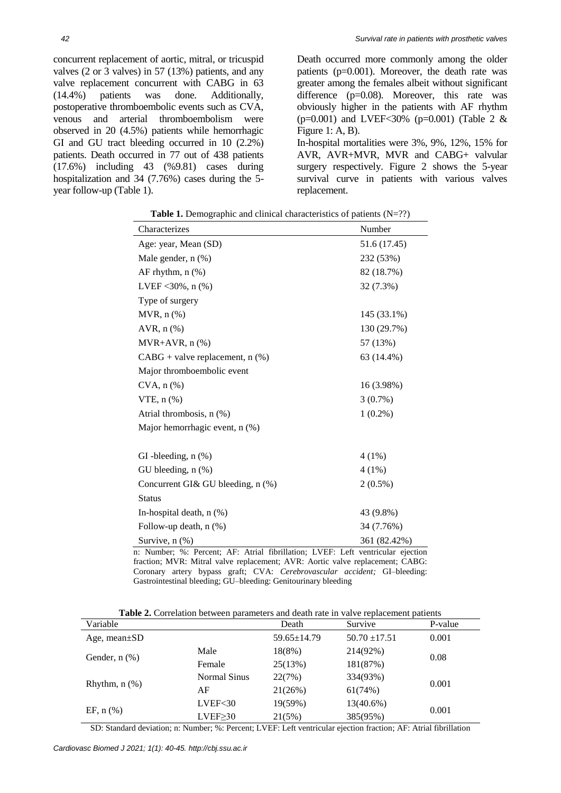concurrent replacement of aortic, mitral, or tricuspid valves (2 or 3 valves) in 57 (13%) patients, and any valve replacement concurrent with CABG in 63 (14.4%) patients was done. Additionally, postoperative thromboembolic events such as CVA, venous and arterial thromboembolism were observed in 20 (4.5%) patients while hemorrhagic GI and GU tract bleeding occurred in 10 (2.2%) patients. Death occurred in 77 out of 438 patients (17.6%) including 43 (%9.81) cases during hospitalization and 34 (7.76%) cases during the 5 year follow-up (Table 1).

Death occurred more commonly among the older patients (p=0.001). Moreover, the death rate was greater among the females albeit without significant difference (p=0.08). Moreover, this rate was obviously higher in the patients with AF rhythm  $(p=0.001)$  and LVEF<30%  $(p=0.001)$  (Table 2 & Figure 1: A, B).

In-hospital mortalities were 3%, 9%, 12%, 15% for AVR, AVR+MVR, MVR and CABG+ valvular surgery respectively. Figure 2 shows the 5-year survival curve in patients with various valves replacement.

| Characterizes                        | Number       |  |  |  |
|--------------------------------------|--------------|--|--|--|
| Age: year, Mean (SD)                 | 51.6 (17.45) |  |  |  |
| Male gender, $n$ $(\%)$              | 232 (53%)    |  |  |  |
| AF rhythm, $n$ $(\%)$                | 82 (18.7%)   |  |  |  |
| LVEF < $30\%$ , n $(\% )$            | 32 (7.3%)    |  |  |  |
| Type of surgery                      |              |  |  |  |
| $MVR$ , $n$ $%$                      | 145 (33.1%)  |  |  |  |
| AVR, $n$ $%$                         | 130 (29.7%)  |  |  |  |
| $MVR+AVR, n(\%)$                     | 57 (13%)     |  |  |  |
| $CABG$ + valve replacement, n $(\%)$ | 63 (14.4%)   |  |  |  |
| Major thromboembolic event           |              |  |  |  |
| $CVA$ , $n$ $(\%)$                   | 16 (3.98%)   |  |  |  |
| $VTE$ , n $(\%)$                     | $3(0.7\%)$   |  |  |  |
| Atrial thrombosis, $n$ $(\%)$        | $1(0.2\%)$   |  |  |  |
| Major hemorrhagic event, n (%)       |              |  |  |  |
|                                      |              |  |  |  |
| GI-bleeding, $n$ $(\%)$              | 4 (1%)       |  |  |  |
| GU bleeding, $n$ $(\%)$              | 4 (1%)       |  |  |  |
| Concurrent GI& GU bleeding, n (%)    | $2(0.5\%)$   |  |  |  |
| <b>Status</b>                        |              |  |  |  |
| In-hospital death, $n$ $(\%)$        | 43 (9.8%)    |  |  |  |
| Follow-up death, $n$ $(\%)$          | 34 (7.76%)   |  |  |  |
| Survive, $n$ $(\%)$                  | 361 (82.42%) |  |  |  |

**Table 1.** Demographic and clinical characteristics of patients (N=??)

n: Number; %: Percent; AF: Atrial fibrillation; LVEF: Left ventricular ejection fraction; MVR: Mitral valve replacement; AVR: Aortic valve replacement; CABG: Coronary artery bypass graft; CVA: *Cerebrovascular accident;* GI–bleeding: Gastrointestinal bleeding; GU–bleeding: Genitourinary bleeding

**Table 2.** Correlation between parameters and death rate in valve replacement patients

| Variable           |                    | Death             | Survive           | P-value |
|--------------------|--------------------|-------------------|-------------------|---------|
| Age, mean $\pm SD$ |                    | $59.65 \pm 14.79$ | $50.70 \pm 17.51$ | 0.001   |
| Gender, $n$ $(\%)$ | Male               | 18(8%)            | 214(92%)          |         |
|                    | Female             | 25(13%)           | 181(87%)          | 0.08    |
| Rhythm, $n$ $(\%)$ | Normal Sinus       | 22(7%)            | 334(93%)          |         |
|                    | AF                 | 21(26%)           | 61(74%)           | 0.001   |
| EF, $n$ (%)        | LVEF <sub>30</sub> | 19(59%)           | $13(40.6\%)$      |         |
|                    | $LVEF \geq 30$     | 21(5%)            | 385(95%)          | 0.001   |

SD: Standard deviation; n: Number; %: Percent; LVEF: Left ventricular ejection fraction; AF: Atrial fibrillation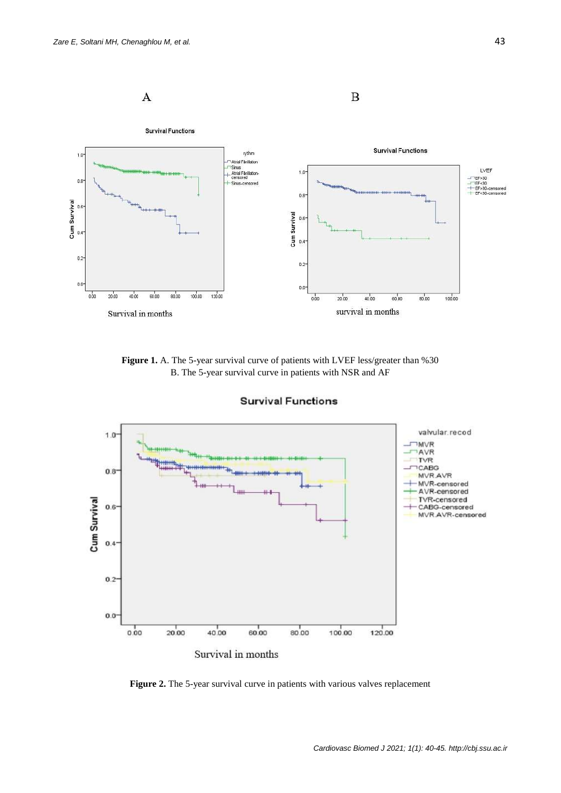

**Figure 1.** A. The 5-year survival curve of patients with LVEF less/greater than %30 B. The 5-year survival curve in patients with NSR and AF



**Survival Functions** 

**Figure 2.** The 5-year survival curve in patients with various valves replacement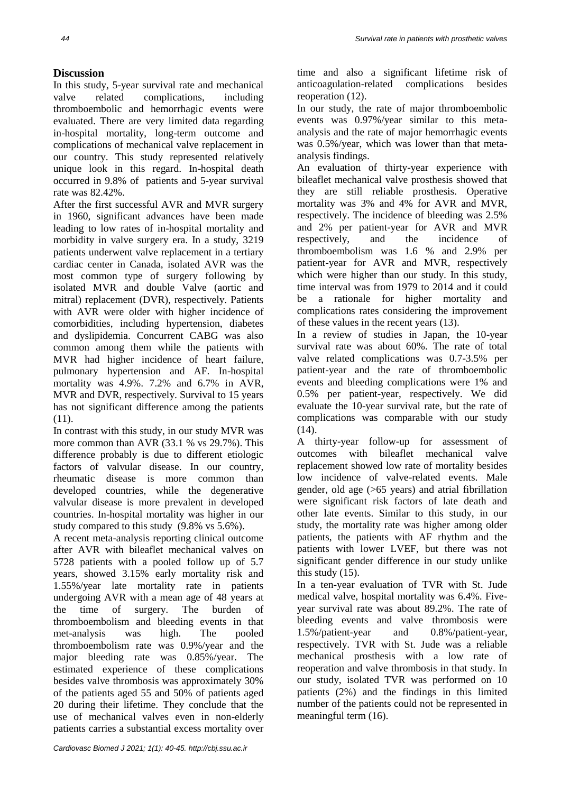## **Discussion**

In this study, 5-year survival rate and mechanical valve related complications, including thromboembolic and hemorrhagic events were evaluated. There are very limited data regarding in-hospital mortality, long-term outcome and complications of mechanical valve replacement in our country. This study represented relatively unique look in this regard. In-hospital death occurred in 9.8% of patients and 5-year survival rate was 82.42%.

After the first successful AVR and MVR surgery in 1960, significant advances have been made leading to low rates of in-hospital mortality and morbidity in valve surgery era. In a study, 3219 patients underwent valve replacement in a tertiary cardiac center in Canada, isolated AVR was the most common type of surgery following by isolated MVR and double Valve (aortic and mitral) replacement (DVR), respectively. Patients with AVR were older with higher incidence of comorbidities, including hypertension, diabetes and dyslipidemia. Concurrent CABG was also common among them while the patients with MVR had higher incidence of heart failure, pulmonary hypertension and AF. In-hospital mortality was 4.9%. 7.2% and 6.7% in AVR, MVR and DVR, respectively. Survival to 15 years has not significant difference among the patients (11).

In contrast with this study, in our study MVR was more common than AVR (33.1 % vs 29.7%). This difference probably is due to different etiologic factors of valvular disease. In our country, rheumatic disease is more common than developed countries, while the degenerative valvular disease is more prevalent in developed countries. In-hospital mortality was higher in our study compared to this study (9.8% vs 5.6%).

A recent meta-analysis reporting clinical outcome after AVR with bileaflet mechanical valves on 5728 patients with a pooled follow up of 5.7 years, showed 3.15% early mortality risk and 1.55%/year late mortality rate in patients undergoing AVR with a mean age of 48 years at the time of surgery. The burden of thromboembolism and bleeding events in that met-analysis was high. The pooled thromboembolism rate was 0.9%/year and the major bleeding rate was 0.85%/year. The estimated experience of these complications besides valve thrombosis was approximately 30% of the patients aged 55 and 50% of patients aged 20 during their lifetime. They conclude that the use of mechanical valves even in non-elderly patients carries a substantial excess mortality over time and also a significant lifetime risk of anticoagulation-related complications besides reoperation (12).

In our study, the rate of major thromboembolic events was 0.97%/year similar to this metaanalysis and the rate of major hemorrhagic events was 0.5%/year, which was lower than that metaanalysis findings.

An evaluation of thirty-year experience with bileaflet mechanical valve prosthesis showed that they are still reliable prosthesis. Operative mortality was 3% and 4% for AVR and MVR, respectively. The incidence of bleeding was 2.5% and 2% per patient-year for AVR and MVR respectively, and the incidence of thromboembolism was 1.6 % and 2.9% per patient-year for AVR and MVR, respectively which were higher than our study. In this study, time interval was from 1979 to 2014 and it could be a rationale for higher mortality and complications rates considering the improvement of these values in the recent years (13).

In a review of studies in Japan, the 10-year survival rate was about 60%. The rate of total valve related complications was 0.7-3.5% per patient-year and the rate of thromboembolic events and bleeding complications were 1% and 0.5% per patient-year, respectively. We did evaluate the 10-year survival rate, but the rate of complications was comparable with our study (14).

A thirty-year follow-up for assessment of outcomes with bileaflet mechanical valve replacement showed low rate of mortality besides low incidence of valve-related events. Male gender, old age (>65 years) and atrial fibrillation were significant risk factors of late death and other late events. Similar to this study, in our study, the mortality rate was higher among older patients, the patients with AF rhythm and the patients with lower LVEF, but there was not significant gender difference in our study unlike this study (15).

In a ten-year evaluation of TVR with St. Jude medical valve, hospital mortality was 6.4%. Fiveyear survival rate was about 89.2%. The rate of bleeding events and valve thrombosis were 1.5%/patient-year and 0.8%/patient-year, respectively. TVR with St. Jude was a reliable mechanical prosthesis with a low rate of reoperation and valve thrombosis in that study. In our study, isolated TVR was performed on 10 patients (2%) and the findings in this limited number of the patients could not be represented in meaningful term (16).